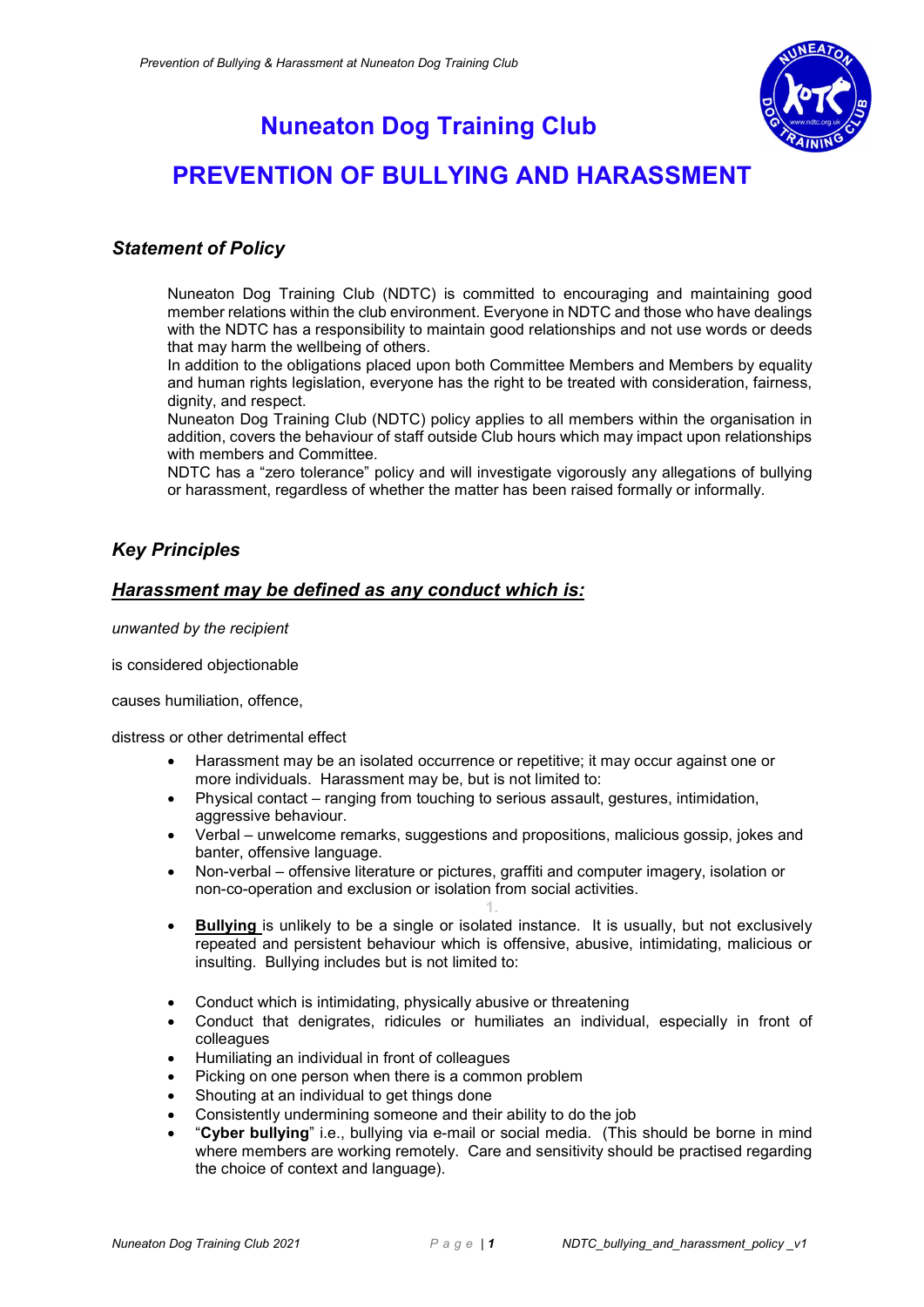

## Nuneaton Dog Training Club

# PREVENTION OF BULLYING AND HARASSMENT

### Statement of Policy

Nuneaton Dog Training Club (NDTC) is committed to encouraging and maintaining good member relations within the club environment. Everyone in NDTC and those who have dealings with the NDTC has a responsibility to maintain good relationships and not use words or deeds that may harm the wellbeing of others.

In addition to the obligations placed upon both Committee Members and Members by equality and human rights legislation, everyone has the right to be treated with consideration, fairness, dignity, and respect.

Nuneaton Dog Training Club (NDTC) policy applies to all members within the organisation in addition, covers the behaviour of staff outside Club hours which may impact upon relationships with members and Committee.

NDTC has a "zero tolerance" policy and will investigate vigorously any allegations of bullying or harassment, regardless of whether the matter has been raised formally or informally.

## Key Principles

### Harassment may be defined as any conduct which is:

unwanted by the recipient

is considered objectionable

causes humiliation, offence,

distress or other detrimental effect

- Harassment may be an isolated occurrence or repetitive; it may occur against one or more individuals. Harassment may be, but is not limited to:
- Physical contact ranging from touching to serious assault, gestures, intimidation, aggressive behaviour.
- Verbal unwelcome remarks, suggestions and propositions, malicious gossip, jokes and banter, offensive language.
- Non-verbal offensive literature or pictures, graffiti and computer imagery, isolation or non-co-operation and exclusion or isolation from social activities. 1.
- Bullying is unlikely to be a single or isolated instance. It is usually, but not exclusively repeated and persistent behaviour which is offensive, abusive, intimidating, malicious or insulting. Bullying includes but is not limited to:
- Conduct which is intimidating, physically abusive or threatening
- Conduct that denigrates, ridicules or humiliates an individual, especially in front of colleagues
- Humiliating an individual in front of colleagues
- Picking on one person when there is a common problem
- Shouting at an individual to get things done
- Consistently undermining someone and their ability to do the job
- "Cyber bullying" i.e., bullying via e-mail or social media. (This should be borne in mind where members are working remotely. Care and sensitivity should be practised regarding the choice of context and language).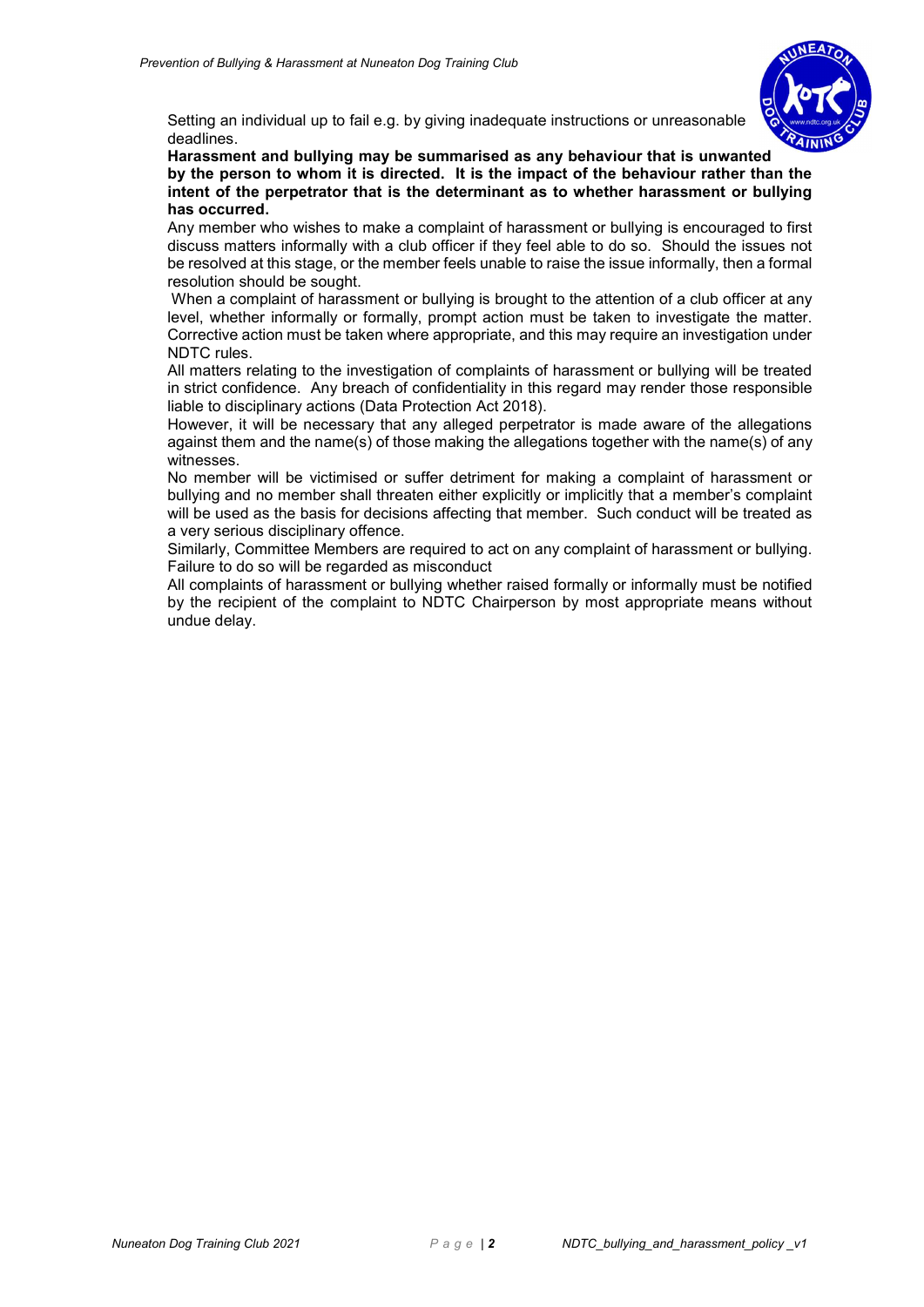

Setting an individual up to fail e.g. by giving inadequate instructions or unreasonable deadlines.

Harassment and bullying may be summarised as any behaviour that is unwanted by the person to whom it is directed. It is the impact of the behaviour rather than the intent of the perpetrator that is the determinant as to whether harassment or bullying has occurred.

Any member who wishes to make a complaint of harassment or bullying is encouraged to first discuss matters informally with a club officer if they feel able to do so. Should the issues not be resolved at this stage, or the member feels unable to raise the issue informally, then a formal resolution should be sought.

 When a complaint of harassment or bullying is brought to the attention of a club officer at any level, whether informally or formally, prompt action must be taken to investigate the matter. Corrective action must be taken where appropriate, and this may require an investigation under NDTC rules.

All matters relating to the investigation of complaints of harassment or bullying will be treated in strict confidence. Any breach of confidentiality in this regard may render those responsible liable to disciplinary actions (Data Protection Act 2018).

However, it will be necessary that any alleged perpetrator is made aware of the allegations against them and the name(s) of those making the allegations together with the name(s) of any witnesses.

No member will be victimised or suffer detriment for making a complaint of harassment or bullying and no member shall threaten either explicitly or implicitly that a member's complaint will be used as the basis for decisions affecting that member. Such conduct will be treated as a very serious disciplinary offence.

Similarly, Committee Members are required to act on any complaint of harassment or bullying. Failure to do so will be regarded as misconduct

All complaints of harassment or bullying whether raised formally or informally must be notified by the recipient of the complaint to NDTC Chairperson by most appropriate means without undue delay.